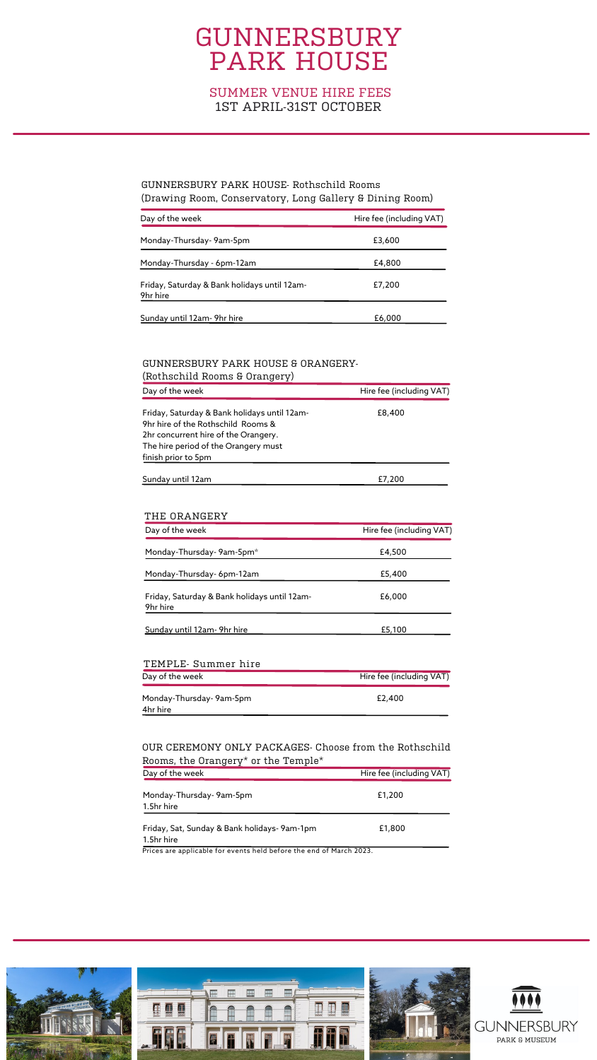# GUNNERSBURY PARK HOUSE

### SUMMER VENUE HIRE FEES 1ST APRIL-31ST OCTOBER

| Day of the week                                          | Hire fee (including VAT) |
|----------------------------------------------------------|--------------------------|
| Monday-Thursday- 9am-5pm                                 | £3,600                   |
| Monday-Thursday - 6pm-12am                               | £4,800                   |
| Friday, Saturday & Bank holidays until 12am-<br>9hr hire | £7,200                   |
| Sunday until 12am- 9hr hire                              | £6,000                   |

| (ROCHSCHILLE ROOMS E OIGHTCLY)                                                                                                                                                            |                          |
|-------------------------------------------------------------------------------------------------------------------------------------------------------------------------------------------|--------------------------|
| Day of the week                                                                                                                                                                           | Hire fee (including VAT) |
| Friday, Saturday & Bank holidays until 12am-<br>9hr hire of the Rothschild Rooms &<br>2hr concurrent hire of the Orangery.<br>The hire period of the Orangery must<br>finish prior to 5pm | £8,400                   |
| Sunday until 12am                                                                                                                                                                         | £7,200                   |

### GUNNERSBURY PARK HOUSE- Rothschild Rooms (Drawing Room, Conservatory, Long Gallery & Dining Room)

#### GUNNERSBURY PARK HOUSE & ORANGERY- (Rothschild Rooms & Orangery)

| Day of the week                                          | Hire fee (including VAT) |
|----------------------------------------------------------|--------------------------|
| Monday-Thursday-9am-5pm*                                 | £4,500                   |
| Monday-Thursday-6pm-12am                                 | £5,400                   |
| Friday, Saturday & Bank holidays until 12am-<br>9hr hire | £6,000                   |
| Sunday until 12am-9hr hire                               | £5,100                   |

| TEMPLE- Summer hire     |                          |  |
|-------------------------|--------------------------|--|
| Day of the week         | Hire fee (including VAT) |  |
| Monday-Thursday-9am-5pm | £2,400                   |  |
| 4hr hire                |                          |  |

#### THE ORANGERY

| Day of the week                                                     | Hire fee (including VAT) |
|---------------------------------------------------------------------|--------------------------|
| Monday-Thursday- 9am-5pm<br>1.5hr hire                              | £1,200                   |
| Friday, Sat, Sunday & Bank holidays-9am-1pm<br>1.5hr hire           | £1,800                   |
| Prices are applicable for events held before the end of March 2023. |                          |



#### OUR CEREMONY ONLY PACKAGES- Choose from the Rothschild Rooms, the Orangery\* or the Temple\*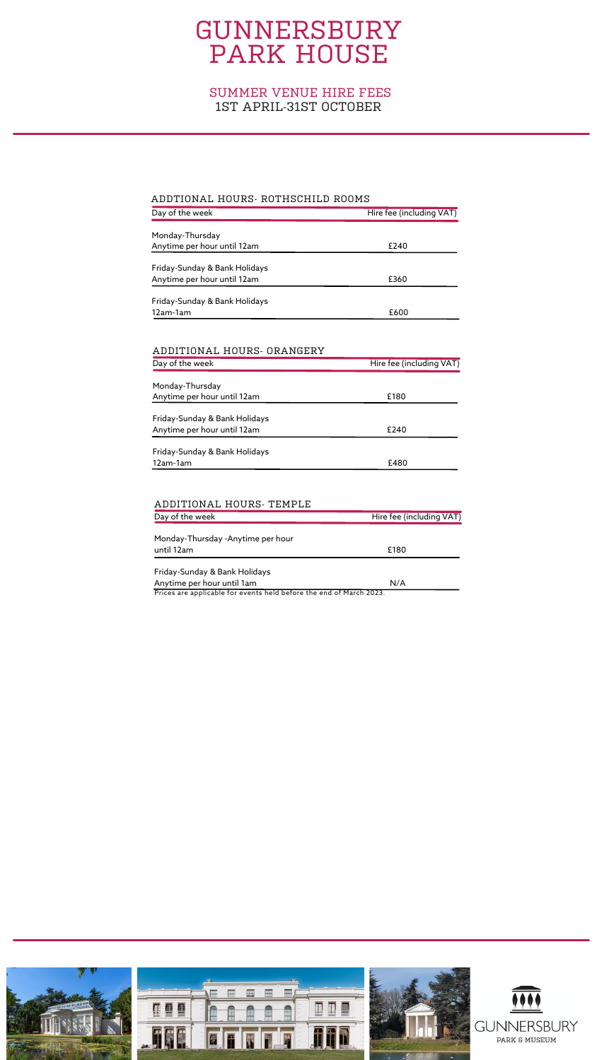# GUNNERSBURY PARK HOUSE

| Day of the week               | Hire fee (including VAT) |
|-------------------------------|--------------------------|
| Monday-Thursday               |                          |
| Anytime per hour until 12am   | £240                     |
|                               |                          |
| Friday-Sunday & Bank Holidays |                          |
| Anytime per hour until 12am   | £360                     |
| Friday-Sunday & Bank Holidays |                          |
| 12am-1am                      | £600                     |
|                               |                          |
|                               |                          |

| Day of the week               | Hire fee (including VAT) |
|-------------------------------|--------------------------|
|                               |                          |
| Monday-Thursday               |                          |
| Anytime per hour until 12am   | £180                     |
| Friday-Sunday & Bank Holidays |                          |
| Anytime per hour until 12am   | £240                     |
| Friday-Sunday & Bank Holidays |                          |
| 12am-1am                      | £480                     |

| Day of the week                                                                                            | Hire fee (including VAT) |
|------------------------------------------------------------------------------------------------------------|--------------------------|
| Monday-Thursday -Anytime per hour                                                                          |                          |
| until 12am                                                                                                 | £180                     |
| Friday-Sunday & Bank Holidays                                                                              |                          |
| Anytime per hour until 1am<br><b>D.</b> C. (1995) <b>1999 1999 1999 1999 1999 1999 1999 1999 1999 1999</b> | N/A                      |

#### ADDTIONAL HOURS- ROTHSCHILD ROOMS

Prices are applicable for events held before the end of March 2023.



#### ADDITIONAL HOURS- ORANGERY

#### ADDITIONAL HOURS- TEMPLE

### SUMMER VENUE HIRE FEES 1ST APRIL-31ST OCTOBER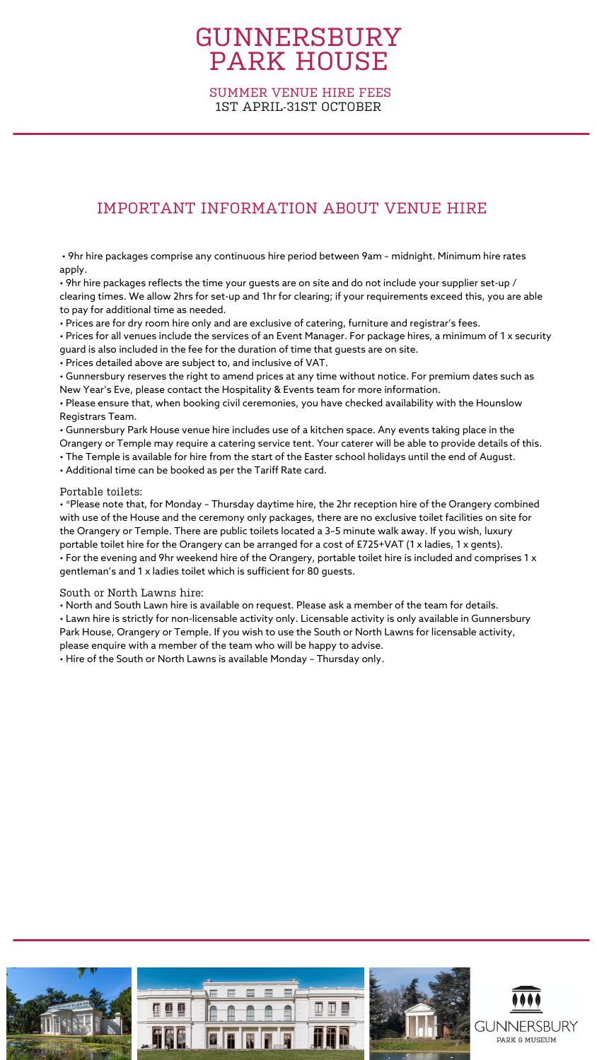# GUNNERSBURY PARK HOUSE

## IMPORTANT INFORMATION ABOUT VENUE HIRE

• 9hr hire packages comprise any continuous hire period between 9am – midnight. Minimum hire rates apply.

 $\bm{\cdot}$  9hr hire packages reflects the time your guests are on site and do not include your supplier set-up / clearing times. We allow 2hrs for set-up and 1hr for clearing; if your requirements exceed this, you are able to pay for additional time as needed.

• Prices are for dry room hire only and are exclusive of catering, furniture and registrar's fees.

• Prices for all venues include the services of an Event Manager. For package hires, a minimum of 1 x security guard is also included in the fee for the duration of time that guests are on site.

• Prices detailed above are subject to, and inclusive of VAT.

• Gunnersbury reserves the right to amend prices at any time without notice. For premium dates such as New Year's Eve, please contact the Hospitality & Events team for more information.

• Please ensure that, when booking civil ceremonies, you have checked availability with the Hounslow Registrars Team.

• Gunnersbury Park House venue hire includes use of a kitchen space. Any events taking place in the Orangery or Temple may require a catering service tent. Your caterer will be able to provide details of this.

• The Temple is available for hire from the start of the Easter school holidays until the end of August.

• Additional time can be booked as per the Tariff Rate card.

### Portable toilets:

• \*Please note that, for Monday – Thursday daytime hire, the 2hr reception hire of the Orangery combined with use of the House and the ceremony only packages, there are no exclusive toilet facilities on site for the Orangery or Temple. There are public toilets located a 3–5 minute walk away. If you wish, luxury portable toilet hire for the Orangery can be arranged for a cost of £725+VAT (1 x ladies, 1 x gents). • For the evening and 9hr weekend hire of the Orangery, portable toilet hire is included and comprises 1 x gentleman's and 1 x ladies toilet which is sufficient for 80 guests.

South or North Lawns hire:

• North and South Lawn hire is available on request. Please ask a member of the team for details.

• Lawn hire is strictly for non-licensable activity only. Licensable activity is only available in Gunnersbury Park House, Orangery or Temple. If you wish to use the South or North Lawns for licensable activity, please enquire with a member of the team who will be happy to advise.

• Hire of the South or North Lawns is available Monday – Thursday only.



SUMMER VENUE HIRE FEES 1ST APRIL-31ST OCTOBER